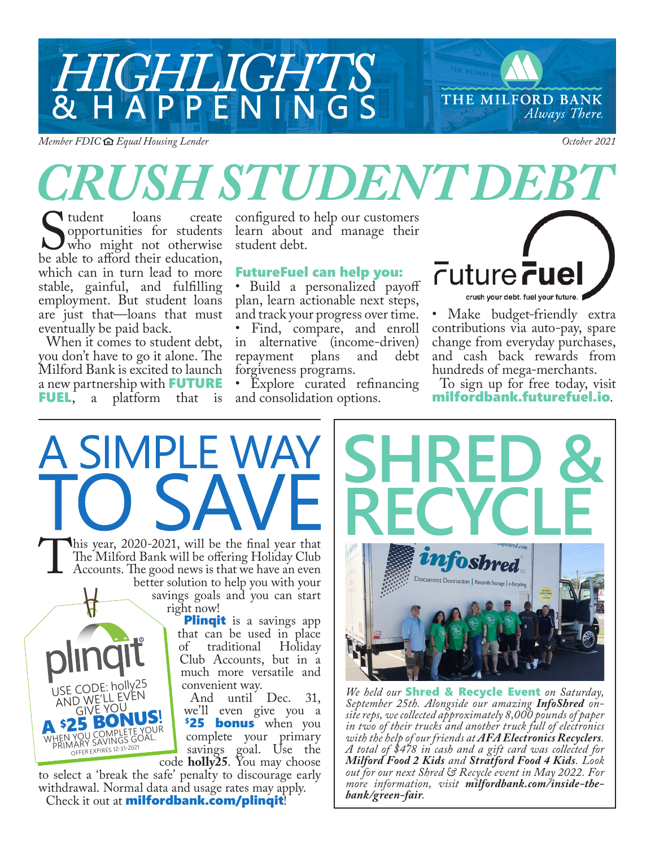

*Member FDIC Equal Housing Lender October 2021*

# RUSH STUDENT DEB'

Student loans create<br>
opportunities for students<br>
be able to afford their education, opportunities for students who might not otherwise which can in turn lead to more stable, gainful, and fulfilling employment. But student loans are just that—loans that must eventually be paid back.

When it comes to student debt, you don't have to go it alone. The Milford Bank is excited to launch a new partnership with **FUTURE FUEL**, a platform that is

USE CODE: holly25 AND WE'LL EVE **\$25 BON** WHEN YOU COMPLETE YOUR PRIMARY SAVINGS GOAL. configured to help our customers learn about and manage their student debt.

#### FutureFuel can help you:

• Build a personalized payoff plan, learn actionable next steps, and track your progress over time. • Find, compare, and enroll in alternative (income-driven) repayment plans forgiveness programs.

Explore curated refinancing and consolidation options.



THE MILFORD BANK

• Make budget-friendly extra contributions via auto-pay, spare change from everyday purchases, and cash back rewards from hundreds of mega-merchants.

To sign up for free today, visit milfordbank.futurefuel.io.



Accounts. The good news is that we have an even better solution to help you with your savings goals and you can start right now!

**Plingit** is a savings app that can be used in place<br>of traditional Holiday traditional Club Accounts, but in a much more versatile and convenient way.

And until Dec. 31, we'll even give you a **\$25 bonus** when you complete your primary savings goal. Use the

code **holly25**. You may choose to select a 'break the safe' penalty to discourage early withdrawal. Normal data and usage rates may apply. Check it out at **milfordbank.com/plingit!** 



*We held our* Shred & Recycle Event *on Saturday, September 25th. Alongside our amazing InfoShred onsite reps, we collected approximately 8,000 pounds of paper in two of their trucks and another truck full of electronics with the help of our friends at AFA Electronics Recyclers. A total of \$478 in cash and a gift card was collected for Milford Food 2 Kids and Stratford Food 4 Kids. Look out for our next Shred & Recycle event in May 2022. For more information, visit milfordbank.com/inside-the- bank/green-fair.*

Always There.